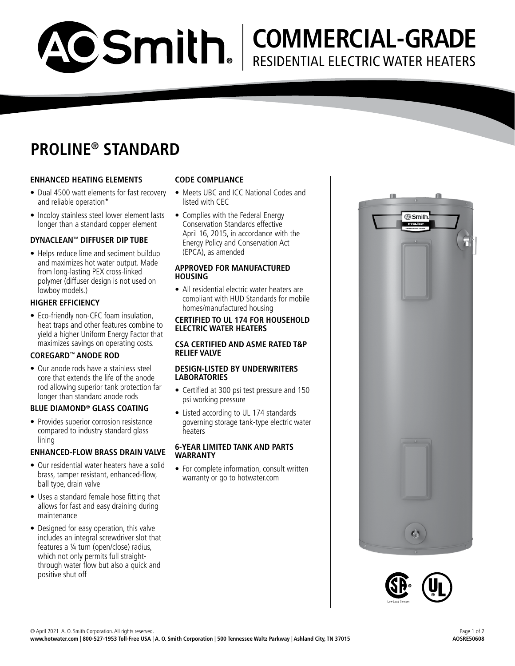# **PROLINE® STANDARD**

ACSmith.

# **ENHANCED HEATING ELEMENTS**

- Dual 4500 watt elements for fast recovery and reliable operation\*
- Incoloy stainless steel lower element lasts longer than a standard copper element

# **DYNACLEAN™ DIFFUSER DIP TUBE**

• Helps reduce lime and sediment buildup and maximizes hot water output. Made from long-lasting PEX cross-linked polymer (diffuser design is not used on lowboy models.)

# **HIGHER EFFICIENCY**

• Eco-friendly non-CFC foam insulation, heat traps and other features combine to yield a higher Uniform Energy Factor that maximizes savings on operating costs.

# **COREGARD™ ANODE ROD**

• Our anode rods have a stainless steel core that extends the life of the anode rod allowing superior tank protection far longer than standard anode rods

#### **BLUE DIAMOND® GLASS COATING**

• Provides superior corrosion resistance compared to industry standard glass lining

#### **ENHANCED-FLOW BRASS DRAIN VALVE**

- Our residential water heaters have a solid brass, tamper resistant, enhanced-flow, ball type, drain valve
- Uses a standard female hose fitting that allows for fast and easy draining during maintenance
- Designed for easy operation, this valve includes an integral screwdriver slot that features a ¼ turn (open/close) radius, which not only permits full straightthrough water flow but also a quick and positive shut off

### **CODE COMPLIANCE**

- Meets UBC and ICC National Codes and listed with CEC
- Complies with the Federal Energy Conservation Standards effective April 16, 2015, in accordance with the Energy Policy and Conservation Act (EPCA), as amended

#### **APPROVED FOR MANUFACTURED HOUSING**

• All residential electric water heaters are compliant with HUD Standards for mobile homes/manufactured housing

#### **CERTIFIED TO UL 174 FOR HOUSEHOLD ELECTRIC WATER HEATERS**

#### **CSA CERTIFIED AND ASME RATED T&P RELIEF VALVE**

#### **DESIGN-LISTED BY UNDERWRITERS LABORATORIES**

- Certified at 300 psi test pressure and 150 psi working pressure
- Listed according to UL 174 standards governing storage tank-type electric water **heaters**

#### **6-YEAR LIMITED TANK AND PARTS WARRANTY**

• For complete information, consult written warranty or go to hotwater.com



**COMMERCIAL-GRADE**

RESIDENTIAL ELECTRIC WATER HEATERS